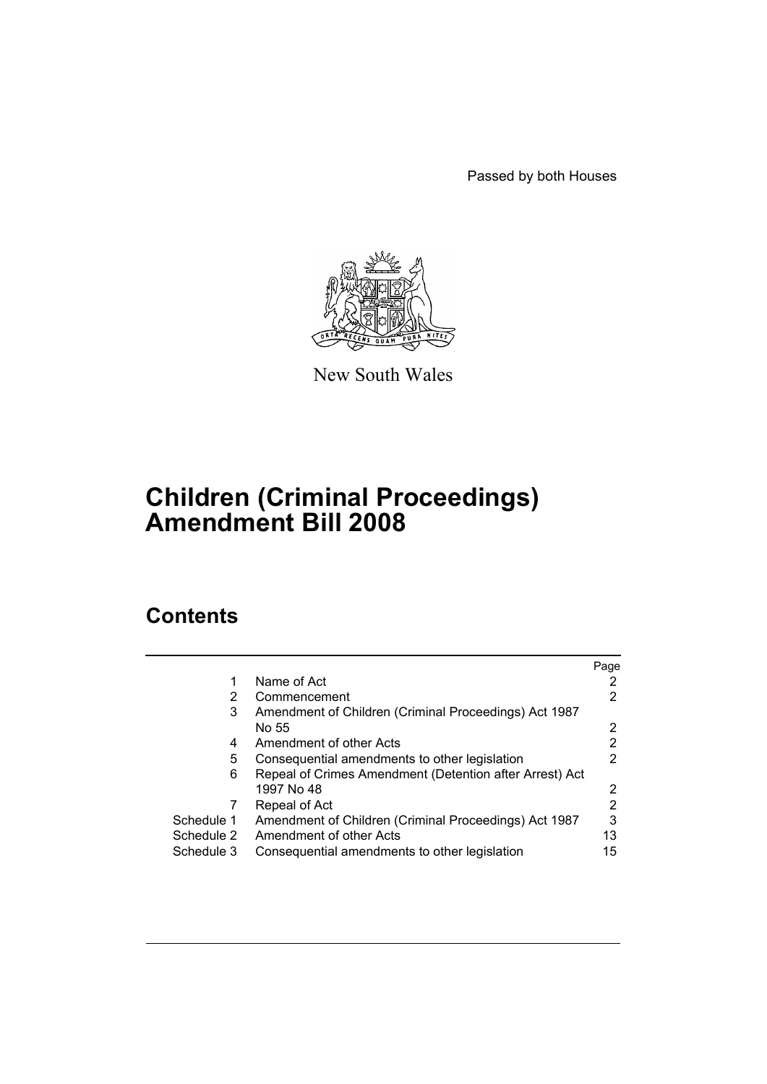Passed by both Houses



New South Wales

# **Children (Criminal Proceedings) Amendment Bill 2008**

# **Contents**

|            |                                                         | Page |
|------------|---------------------------------------------------------|------|
|            | Name of Act                                             |      |
| 2          | Commencement                                            | 2    |
| 3          | Amendment of Children (Criminal Proceedings) Act 1987   |      |
|            | No 55                                                   | 2    |
| 4          | Amendment of other Acts                                 | 2    |
| 5          | Consequential amendments to other legislation           | 2    |
| 6          | Repeal of Crimes Amendment (Detention after Arrest) Act |      |
|            | 1997 No 48                                              | 2    |
|            | Repeal of Act                                           | 2    |
| Schedule 1 | Amendment of Children (Criminal Proceedings) Act 1987   | 3    |
| Schedule 2 | Amendment of other Acts                                 | 13   |
| Schedule 3 | Consequential amendments to other legislation           | 15   |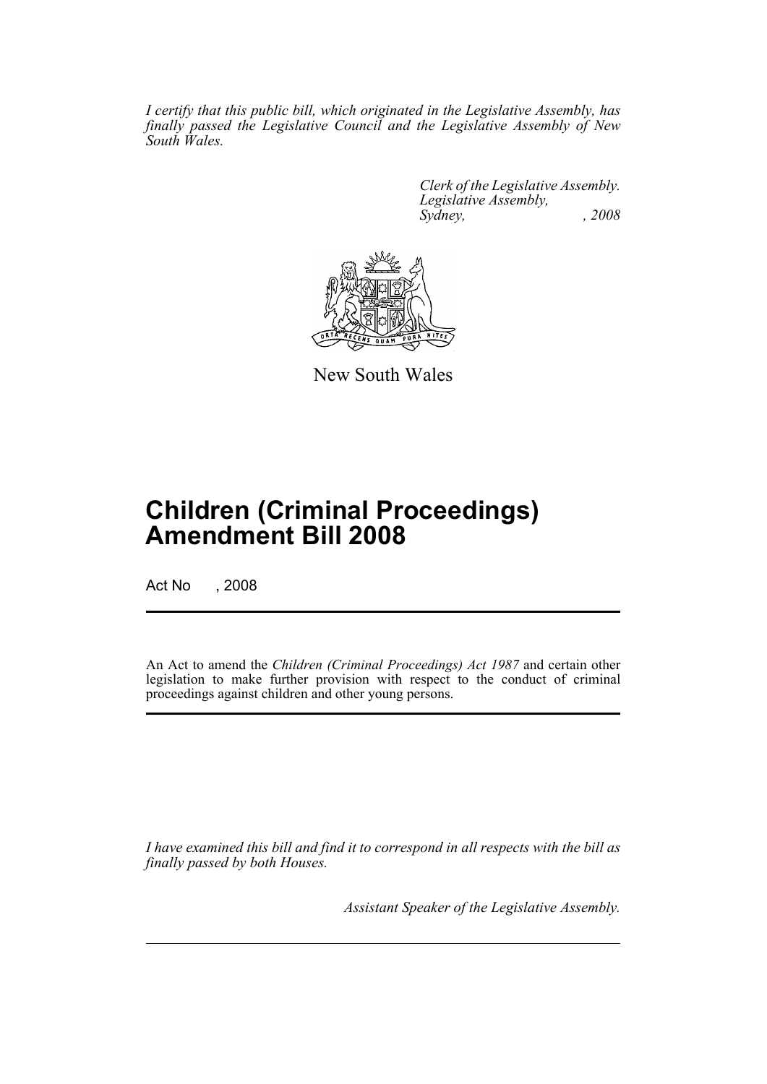*I certify that this public bill, which originated in the Legislative Assembly, has finally passed the Legislative Council and the Legislative Assembly of New South Wales.*

> *Clerk of the Legislative Assembly. Legislative Assembly, Sydney, , 2008*



New South Wales

# **Children (Criminal Proceedings) Amendment Bill 2008**

Act No , 2008

An Act to amend the *Children (Criminal Proceedings) Act 1987* and certain other legislation to make further provision with respect to the conduct of criminal proceedings against children and other young persons.

*I have examined this bill and find it to correspond in all respects with the bill as finally passed by both Houses.*

*Assistant Speaker of the Legislative Assembly.*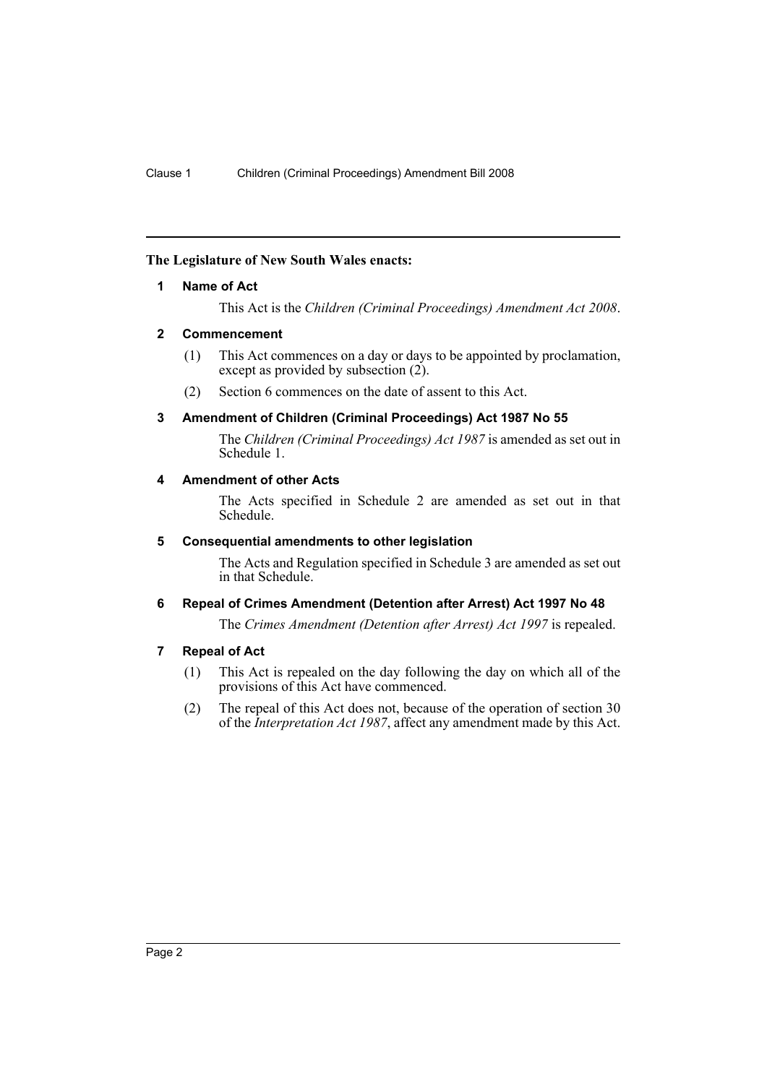#### <span id="page-2-0"></span>**The Legislature of New South Wales enacts:**

#### **1 Name of Act**

This Act is the *Children (Criminal Proceedings) Amendment Act 2008*.

#### <span id="page-2-1"></span>**2 Commencement**

- (1) This Act commences on a day or days to be appointed by proclamation, except as provided by subsection  $(2)$ .
- (2) Section 6 commences on the date of assent to this Act.

# <span id="page-2-2"></span>**3 Amendment of Children (Criminal Proceedings) Act 1987 No 55**

The *Children (Criminal Proceedings) Act 1987* is amended as set out in Schedule 1.

#### <span id="page-2-3"></span>**4 Amendment of other Acts**

The Acts specified in Schedule 2 are amended as set out in that Schedule.

#### <span id="page-2-4"></span>**5 Consequential amendments to other legislation**

The Acts and Regulation specified in Schedule 3 are amended as set out in that Schedule.

# <span id="page-2-5"></span>**6 Repeal of Crimes Amendment (Detention after Arrest) Act 1997 No 48**

The *Crimes Amendment (Detention after Arrest) Act 1997* is repealed.

# <span id="page-2-6"></span>**7 Repeal of Act**

- (1) This Act is repealed on the day following the day on which all of the provisions of this Act have commenced.
- (2) The repeal of this Act does not, because of the operation of section 30 of the *Interpretation Act 1987*, affect any amendment made by this Act.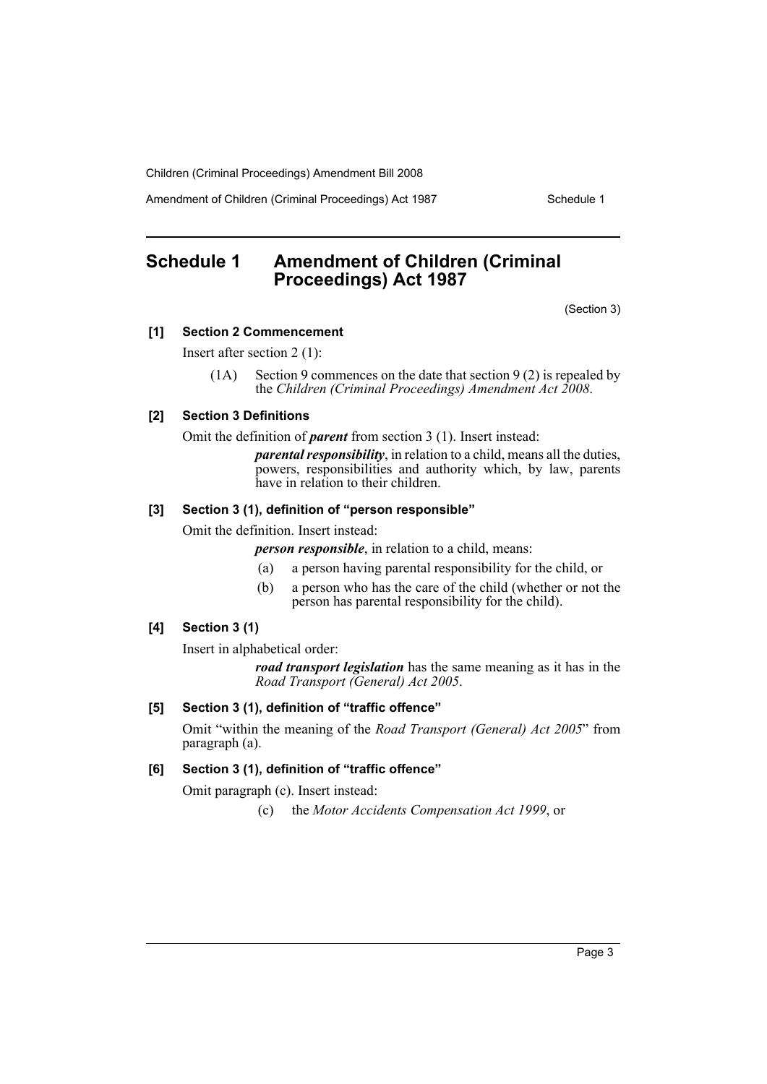Amendment of Children (Criminal Proceedings) Act 1987 Schedule 1

# <span id="page-3-0"></span>**Schedule 1 Amendment of Children (Criminal Proceedings) Act 1987**

(Section 3)

#### **[1] Section 2 Commencement**

Insert after section 2 (1):

(1A) Section 9 commences on the date that section 9 (2) is repealed by the *Children (Criminal Proceedings) Amendment Act 2008*.

#### **[2] Section 3 Definitions**

Omit the definition of *parent* from section 3 (1). Insert instead:

*parental responsibility*, in relation to a child, means all the duties, powers, responsibilities and authority which, by law, parents have in relation to their children.

#### **[3] Section 3 (1), definition of "person responsible"**

Omit the definition. Insert instead:

*person responsible*, in relation to a child, means:

- (a) a person having parental responsibility for the child, or
- (b) a person who has the care of the child (whether or not the person has parental responsibility for the child).

#### **[4] Section 3 (1)**

Insert in alphabetical order:

*road transport legislation* has the same meaning as it has in the *Road Transport (General) Act 2005*.

#### **[5] Section 3 (1), definition of "traffic offence"**

Omit "within the meaning of the *Road Transport (General) Act 2005*" from paragraph (a).

#### **[6] Section 3 (1), definition of "traffic offence"**

Omit paragraph (c). Insert instead:

(c) the *Motor Accidents Compensation Act 1999*, or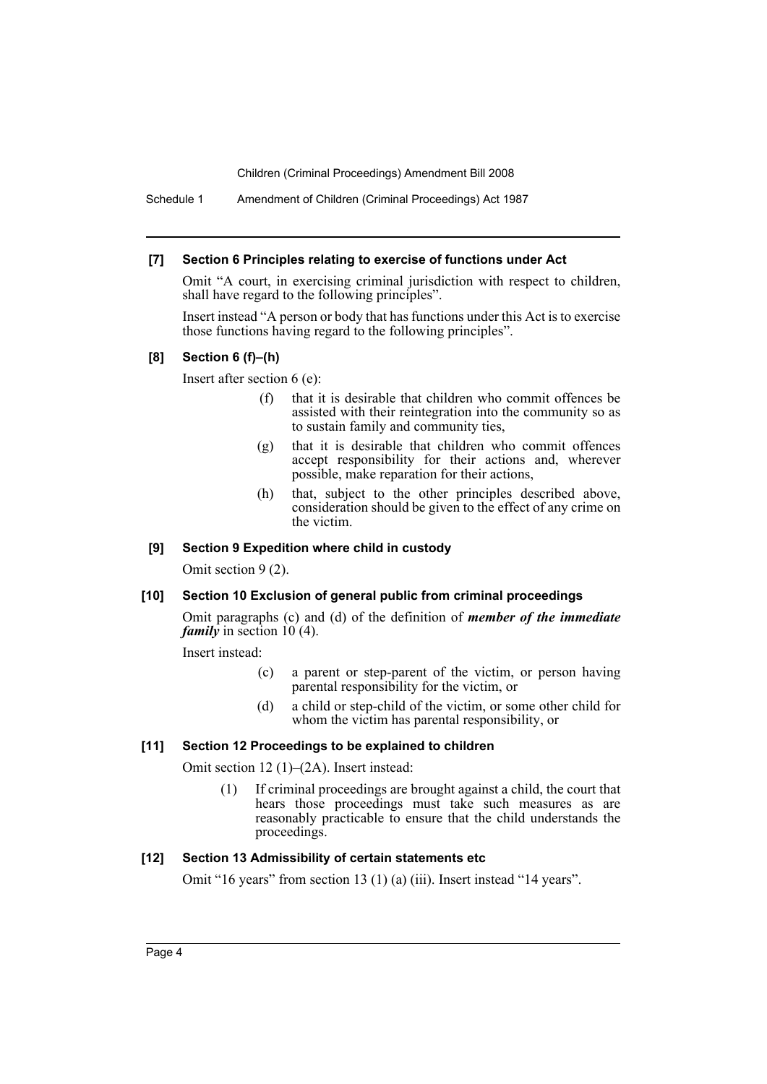Schedule 1 Amendment of Children (Criminal Proceedings) Act 1987

#### **[7] Section 6 Principles relating to exercise of functions under Act**

Omit "A court, in exercising criminal jurisdiction with respect to children, shall have regard to the following principles".

Insert instead "A person or body that has functions under this Act is to exercise those functions having regard to the following principles".

#### **[8] Section 6 (f)–(h)**

Insert after section 6 (e):

- (f) that it is desirable that children who commit offences be assisted with their reintegration into the community so as to sustain family and community ties,
- (g) that it is desirable that children who commit offences accept responsibility for their actions and, wherever possible, make reparation for their actions,
- (h) that, subject to the other principles described above, consideration should be given to the effect of any crime on the victim.

#### **[9] Section 9 Expedition where child in custody**

Omit section 9 (2).

# **[10] Section 10 Exclusion of general public from criminal proceedings**

Omit paragraphs (c) and (d) of the definition of *member of the immediate family* in section 10 (4).

Insert instead:

- (c) a parent or step-parent of the victim, or person having parental responsibility for the victim, or
- (d) a child or step-child of the victim, or some other child for whom the victim has parental responsibility, or

# **[11] Section 12 Proceedings to be explained to children**

Omit section 12 (1)–(2A). Insert instead:

(1) If criminal proceedings are brought against a child, the court that hears those proceedings must take such measures as are reasonably practicable to ensure that the child understands the proceedings.

# **[12] Section 13 Admissibility of certain statements etc**

Omit "16 years" from section 13 (1) (a) (iii). Insert instead "14 years".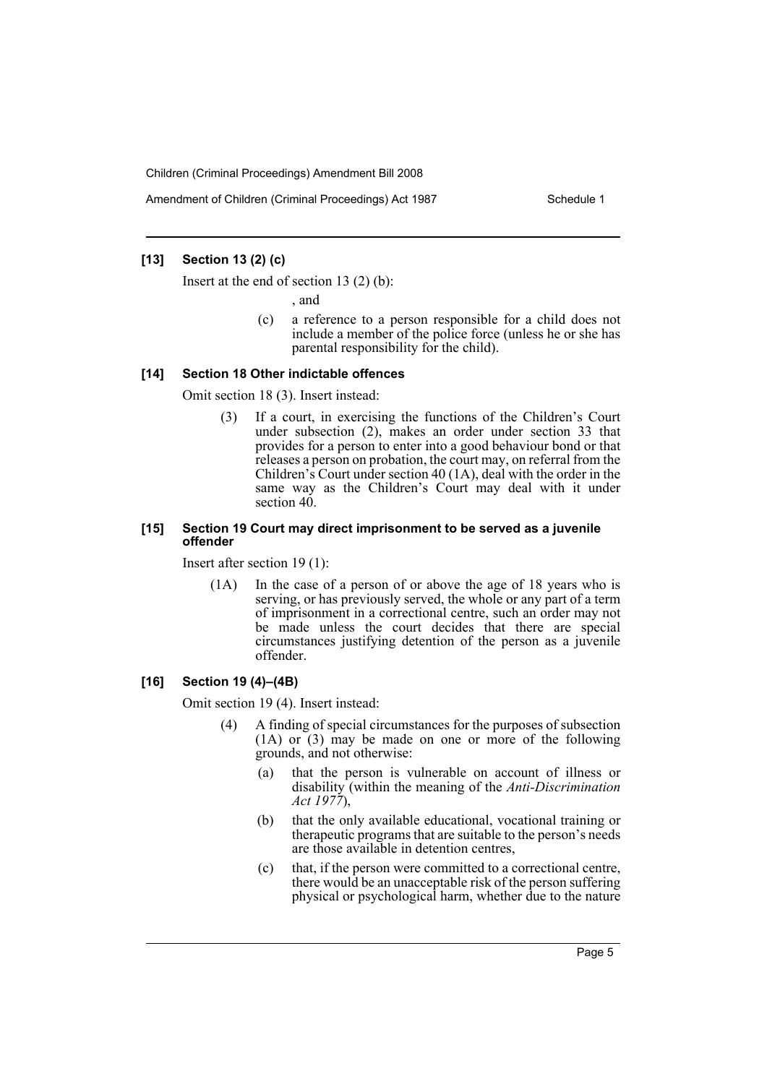Amendment of Children (Criminal Proceedings) Act 1987 Schedule 1

# **[13] Section 13 (2) (c)**

Insert at the end of section 13 (2) (b):

, and

(c) a reference to a person responsible for a child does not include a member of the police force (unless he or she has parental responsibility for the child).

#### **[14] Section 18 Other indictable offences**

Omit section 18 (3). Insert instead:

(3) If a court, in exercising the functions of the Children's Court under subsection (2), makes an order under section 33 that provides for a person to enter into a good behaviour bond or that releases a person on probation, the court may, on referral from the Children's Court under section 40 (1A), deal with the order in the same way as the Children's Court may deal with it under section 40.

#### **[15] Section 19 Court may direct imprisonment to be served as a juvenile offender**

Insert after section 19 (1):

(1A) In the case of a person of or above the age of 18 years who is serving, or has previously served, the whole or any part of a term of imprisonment in a correctional centre, such an order may not be made unless the court decides that there are special circumstances justifying detention of the person as a juvenile offender.

#### **[16] Section 19 (4)–(4B)**

Omit section 19 (4). Insert instead:

- (4) A finding of special circumstances for the purposes of subsection (1A) or (3) may be made on one or more of the following grounds, and not otherwise:
	- (a) that the person is vulnerable on account of illness or disability (within the meaning of the *Anti-Discrimination Act 1977*),
	- (b) that the only available educational, vocational training or therapeutic programs that are suitable to the person's needs are those available in detention centres,
	- (c) that, if the person were committed to a correctional centre, there would be an unacceptable risk of the person suffering physical or psychological harm, whether due to the nature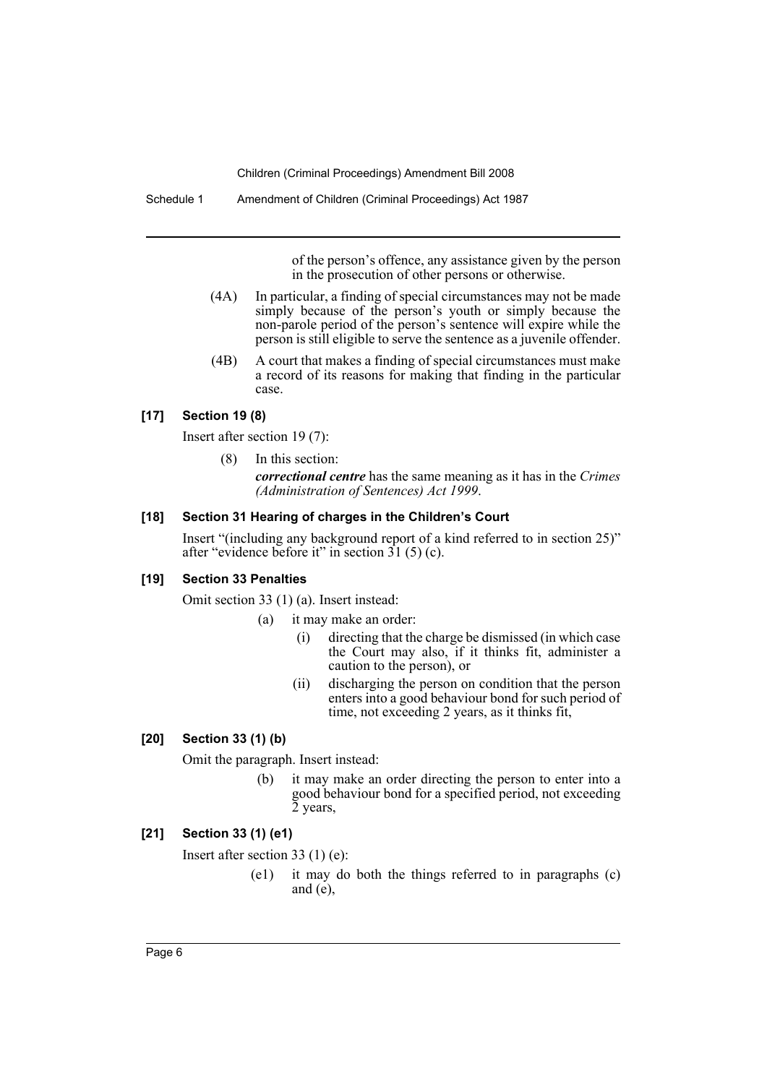Schedule 1 Amendment of Children (Criminal Proceedings) Act 1987

of the person's offence, any assistance given by the person in the prosecution of other persons or otherwise.

- (4A) In particular, a finding of special circumstances may not be made simply because of the person's youth or simply because the non-parole period of the person's sentence will expire while the person is still eligible to serve the sentence as a juvenile offender.
- (4B) A court that makes a finding of special circumstances must make a record of its reasons for making that finding in the particular case.

# **[17] Section 19 (8)**

Insert after section 19 (7):

(8) In this section:

*correctional centre* has the same meaning as it has in the *Crimes (Administration of Sentences) Act 1999*.

# **[18] Section 31 Hearing of charges in the Children's Court**

Insert "(including any background report of a kind referred to in section 25)" after "evidence before it" in section  $31(5)(c)$ .

#### **[19] Section 33 Penalties**

Omit section 33 (1) (a). Insert instead:

- (a) it may make an order:
	- (i) directing that the charge be dismissed (in which case the Court may also, if it thinks fit, administer a caution to the person), or
	- (ii) discharging the person on condition that the person enters into a good behaviour bond for such period of time, not exceeding 2 years, as it thinks fit,

# **[20] Section 33 (1) (b)**

Omit the paragraph. Insert instead:

(b) it may make an order directing the person to enter into a good behaviour bond for a specified period, not exceeding 2 years,

# **[21] Section 33 (1) (e1)**

Insert after section 33 (1) (e):

(e1) it may do both the things referred to in paragraphs (c) and  $(e)$ ,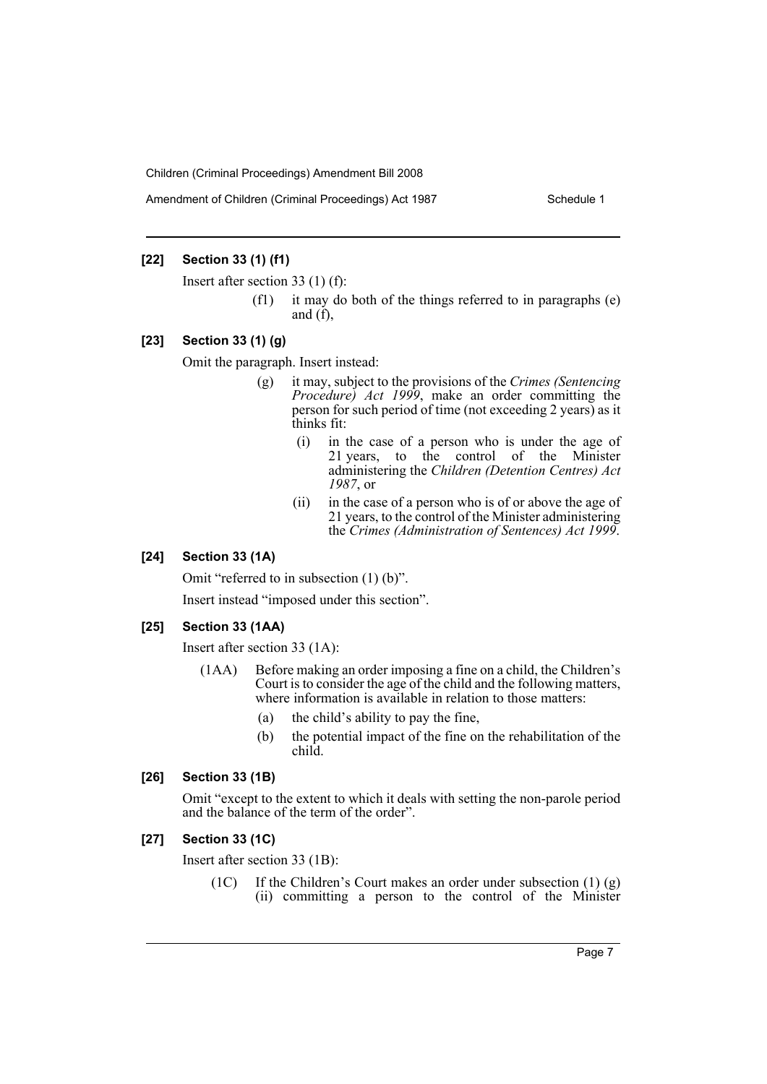#### **[22] Section 33 (1) (f1)**

Insert after section 33 (1) (f):

(f1) it may do both of the things referred to in paragraphs (e) and  $(f)$ ,

#### **[23] Section 33 (1) (g)**

Omit the paragraph. Insert instead:

- (g) it may, subject to the provisions of the *Crimes (Sentencing Procedure) Act 1999*, make an order committing the person for such period of time (not exceeding 2 years) as it thinks fit:
	- (i) in the case of a person who is under the age of 21 years, to the control of the Minister administering the *Children (Detention Centres) Act 1987*, or
	- (ii) in the case of a person who is of or above the age of 21 years, to the control of the Minister administering the *Crimes (Administration of Sentences) Act 1999*.

#### **[24] Section 33 (1A)**

Omit "referred to in subsection (1) (b)".

Insert instead "imposed under this section".

#### **[25] Section 33 (1AA)**

Insert after section 33 (1A):

- (1AA) Before making an order imposing a fine on a child, the Children's Court is to consider the age of the child and the following matters, where information is available in relation to those matters:
	- (a) the child's ability to pay the fine,
	- (b) the potential impact of the fine on the rehabilitation of the child.

#### **[26] Section 33 (1B)**

Omit "except to the extent to which it deals with setting the non-parole period and the balance of the term of the order".

#### **[27] Section 33 (1C)**

Insert after section 33 (1B):

(1C) If the Children's Court makes an order under subsection (1) (g) (ii) committing a person to the control of the Minister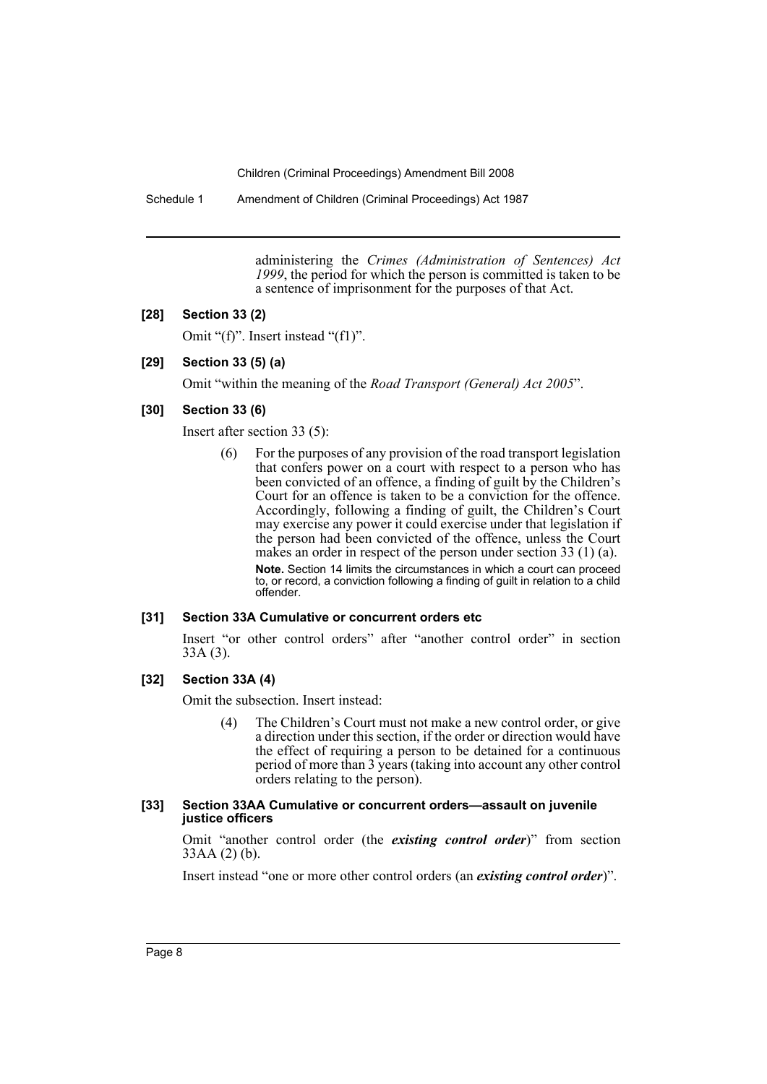Schedule 1 Amendment of Children (Criminal Proceedings) Act 1987

administering the *Crimes (Administration of Sentences) Act 1999*, the period for which the person is committed is taken to be a sentence of imprisonment for the purposes of that Act.

#### **[28] Section 33 (2)**

Omit "(f)". Insert instead "(f1)".

# **[29] Section 33 (5) (a)**

Omit "within the meaning of the *Road Transport (General) Act 2005*".

#### **[30] Section 33 (6)**

Insert after section 33 (5):

(6) For the purposes of any provision of the road transport legislation that confers power on a court with respect to a person who has been convicted of an offence, a finding of guilt by the Children's Court for an offence is taken to be a conviction for the offence. Accordingly, following a finding of guilt, the Children's Court may exercise any power it could exercise under that legislation if the person had been convicted of the offence, unless the Court makes an order in respect of the person under section 33 (1) (a). **Note.** Section 14 limits the circumstances in which a court can proceed to, or record, a conviction following a finding of guilt in relation to a child offender.

#### **[31] Section 33A Cumulative or concurrent orders etc**

Insert "or other control orders" after "another control order" in section 33A (3).

#### **[32] Section 33A (4)**

Omit the subsection. Insert instead:

(4) The Children's Court must not make a new control order, or give a direction under this section, if the order or direction would have the effect of requiring a person to be detained for a continuous period of more than 3 years (taking into account any other control orders relating to the person).

#### **[33] Section 33AA Cumulative or concurrent orders—assault on juvenile justice officers**

Omit "another control order (the *existing control order*)" from section 33AA (2) (b).

Insert instead "one or more other control orders (an *existing control order*)".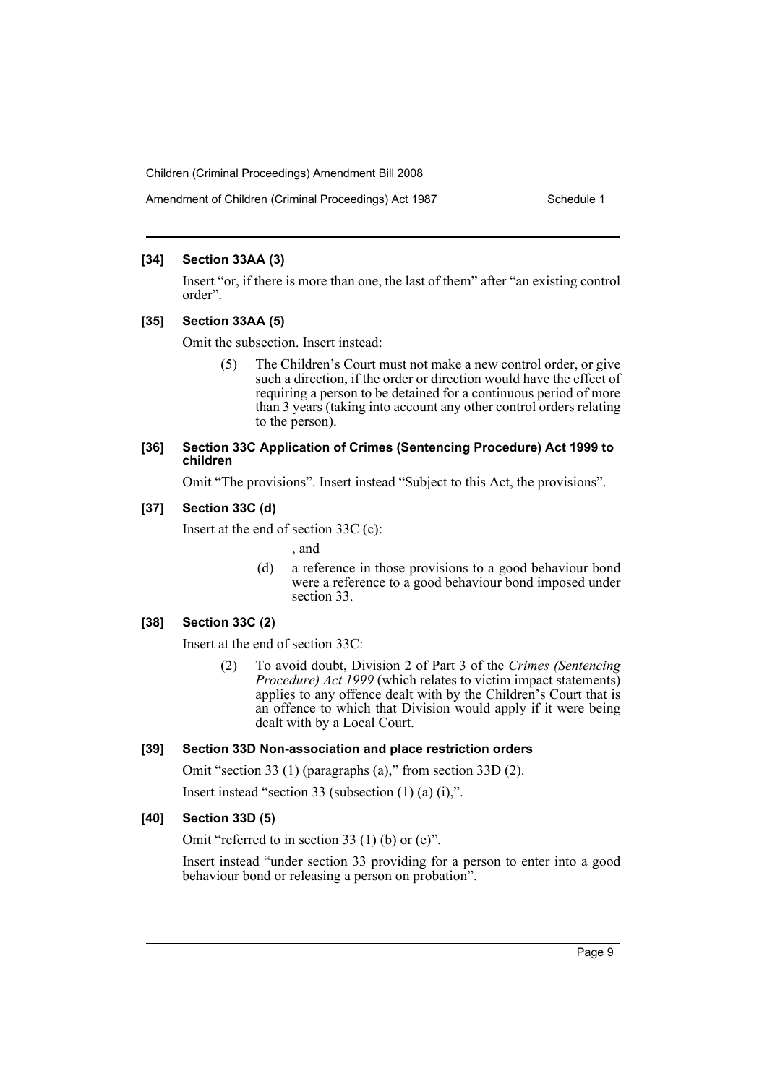#### Amendment of Children (Criminal Proceedings) Act 1987 Schedule 1

#### **[34] Section 33AA (3)**

Insert "or, if there is more than one, the last of them" after "an existing control order".

# **[35] Section 33AA (5)**

Omit the subsection. Insert instead:

(5) The Children's Court must not make a new control order, or give such a direction, if the order or direction would have the effect of requiring a person to be detained for a continuous period of more than 3 years (taking into account any other control orders relating to the person).

#### **[36] Section 33C Application of Crimes (Sentencing Procedure) Act 1999 to children**

Omit "The provisions". Insert instead "Subject to this Act, the provisions".

# **[37] Section 33C (d)**

Insert at the end of section 33C (c):

, and

(d) a reference in those provisions to a good behaviour bond were a reference to a good behaviour bond imposed under section 33.

# **[38] Section 33C (2)**

Insert at the end of section 33C:

(2) To avoid doubt, Division 2 of Part 3 of the *Crimes (Sentencing Procedure) Act 1999* (which relates to victim impact statements) applies to any offence dealt with by the Children's Court that is an offence to which that Division would apply if it were being dealt with by a Local Court.

# **[39] Section 33D Non-association and place restriction orders**

Omit "section 33 (1) (paragraphs (a)," from section 33D (2).

Insert instead "section 33 (subsection (1) (a) (i),".

# **[40] Section 33D (5)**

Omit "referred to in section 33 (1) (b) or (e)".

Insert instead "under section 33 providing for a person to enter into a good behaviour bond or releasing a person on probation".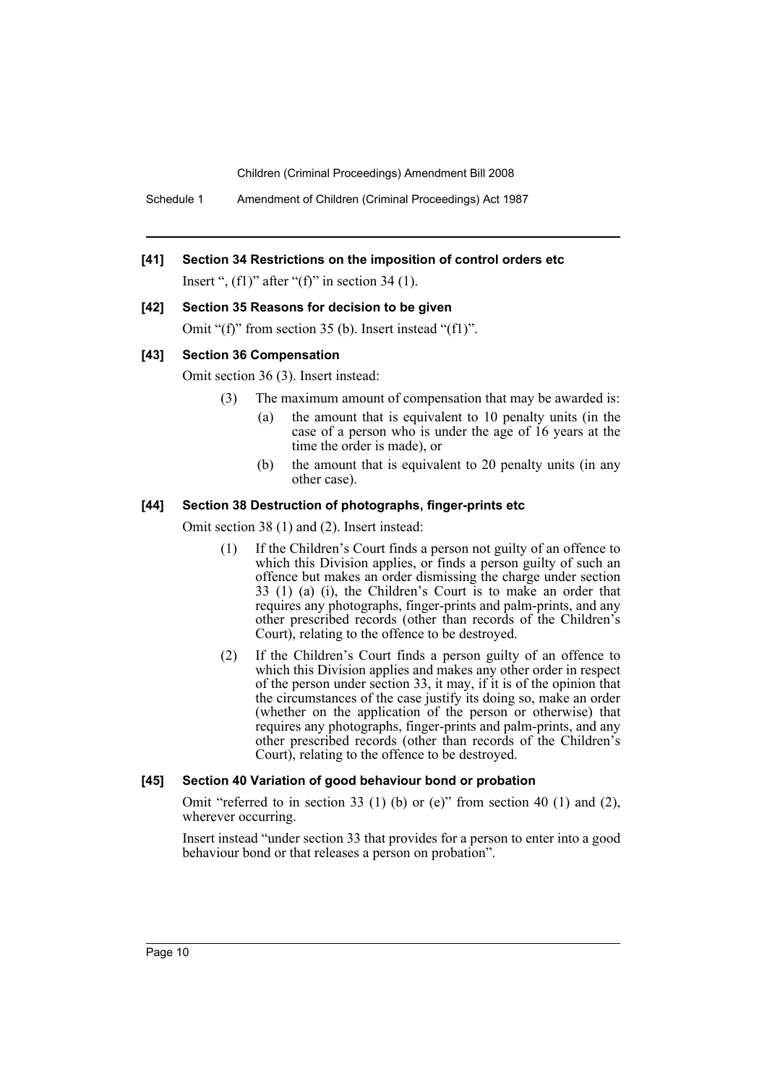Schedule 1 Amendment of Children (Criminal Proceedings) Act 1987

# **[41] Section 34 Restrictions on the imposition of control orders etc**

Insert ",  $(f1)$ " after " $(f)$ " in section 34 (1).

# **[42] Section 35 Reasons for decision to be given**

Omit "(f)" from section 35 (b). Insert instead "(f1)".

#### **[43] Section 36 Compensation**

Omit section 36 (3). Insert instead:

- (3) The maximum amount of compensation that may be awarded is:
	- (a) the amount that is equivalent to 10 penalty units (in the case of a person who is under the age of 16 years at the time the order is made), or
	- (b) the amount that is equivalent to 20 penalty units (in any other case).

#### **[44] Section 38 Destruction of photographs, finger-prints etc**

Omit section 38 (1) and (2). Insert instead:

- (1) If the Children's Court finds a person not guilty of an offence to which this Division applies, or finds a person guilty of such an offence but makes an order dismissing the charge under section 33 (1) (a) (i), the Children's Court is to make an order that requires any photographs, finger-prints and palm-prints, and any other prescribed records (other than records of the Children's Court), relating to the offence to be destroyed.
- (2) If the Children's Court finds a person guilty of an offence to which this Division applies and makes any other order in respect of the person under section 33, it may, if it is of the opinion that the circumstances of the case justify its doing so, make an order (whether on the application of the person or otherwise) that requires any photographs, finger-prints and palm-prints, and any other prescribed records (other than records of the Children's Court), relating to the offence to be destroyed.

# **[45] Section 40 Variation of good behaviour bond or probation**

Omit "referred to in section 33 (1) (b) or (e)" from section 40 (1) and (2), wherever occurring.

Insert instead "under section 33 that provides for a person to enter into a good behaviour bond or that releases a person on probation".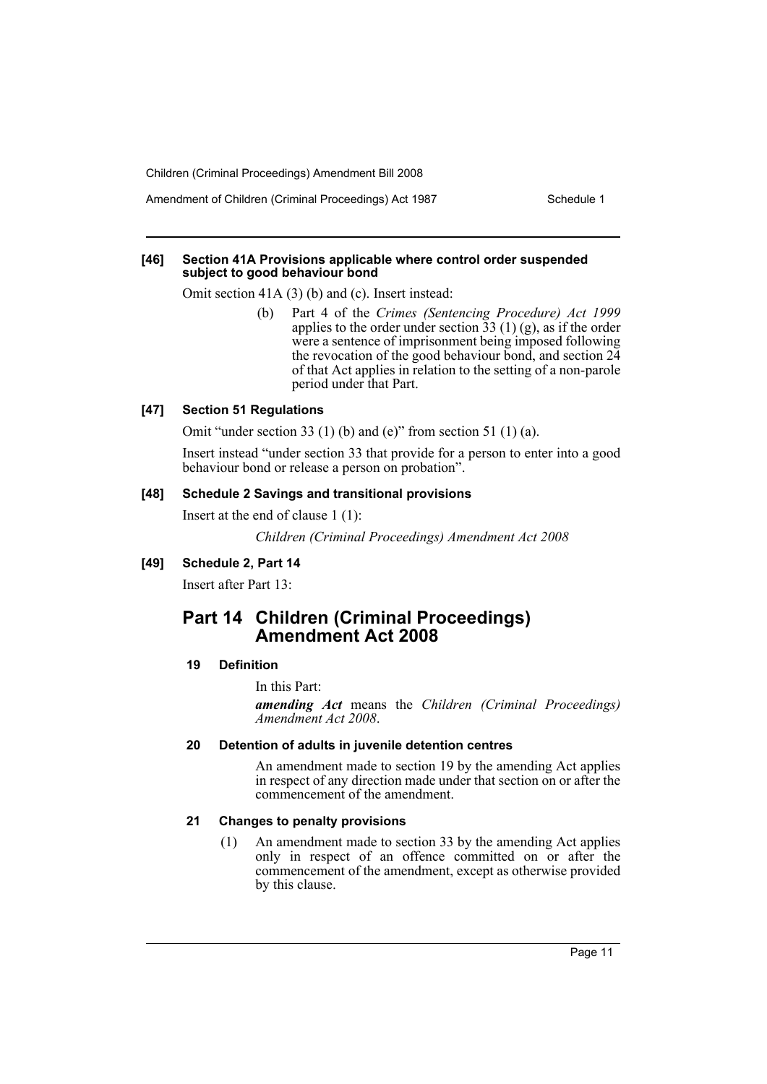Amendment of Children (Criminal Proceedings) Act 1987 Schedule 1

#### **[46] Section 41A Provisions applicable where control order suspended subject to good behaviour bond**

Omit section 41A (3) (b) and (c). Insert instead:

(b) Part 4 of the *Crimes (Sentencing Procedure) Act 1999* applies to the order under section  $\overline{33}$  (1) (g), as if the order were a sentence of imprisonment being imposed following the revocation of the good behaviour bond, and section  $2\overline{4}$ of that Act applies in relation to the setting of a non-parole period under that Part.

#### **[47] Section 51 Regulations**

Omit "under section 33 (1) (b) and (e)" from section 51 (1) (a).

Insert instead "under section 33 that provide for a person to enter into a good behaviour bond or release a person on probation".

# **[48] Schedule 2 Savings and transitional provisions**

Insert at the end of clause 1 (1):

*Children (Criminal Proceedings) Amendment Act 2008*

#### **[49] Schedule 2, Part 14**

Insert after Part 13:

# **Part 14 Children (Criminal Proceedings) Amendment Act 2008**

#### **19 Definition**

In this Part:

*amending Act* means the *Children (Criminal Proceedings) Amendment Act 2008*.

#### **20 Detention of adults in juvenile detention centres**

An amendment made to section 19 by the amending Act applies in respect of any direction made under that section on or after the commencement of the amendment.

#### **21 Changes to penalty provisions**

(1) An amendment made to section 33 by the amending Act applies only in respect of an offence committed on or after the commencement of the amendment, except as otherwise provided by this clause.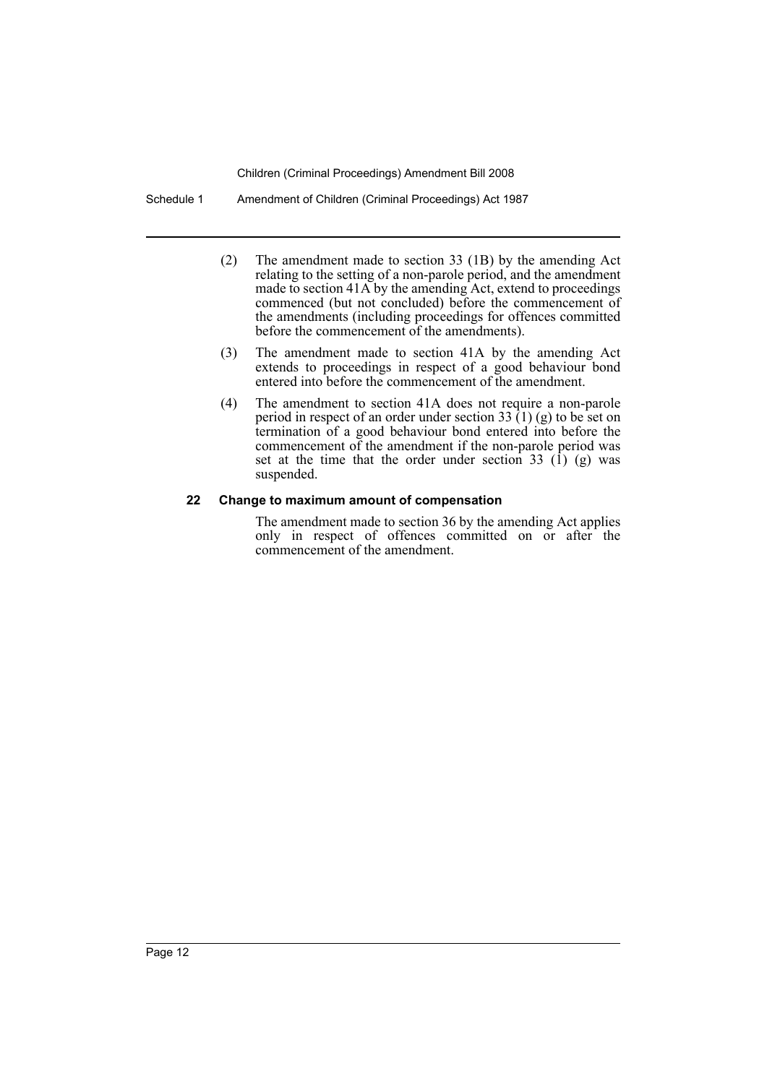Schedule 1 Amendment of Children (Criminal Proceedings) Act 1987

- (2) The amendment made to section 33 (1B) by the amending Act relating to the setting of a non-parole period, and the amendment made to section 41A by the amending Act, extend to proceedings commenced (but not concluded) before the commencement of the amendments (including proceedings for offences committed before the commencement of the amendments).
- (3) The amendment made to section 41A by the amending Act extends to proceedings in respect of a good behaviour bond entered into before the commencement of the amendment.
- (4) The amendment to section 41A does not require a non-parole period in respect of an order under section 33  $(1)$  (g) to be set on termination of a good behaviour bond entered into before the commencement of the amendment if the non-parole period was set at the time that the order under section 33  $(1)$  (g) was suspended.

# **22 Change to maximum amount of compensation**

The amendment made to section 36 by the amending Act applies only in respect of offences committed on or after the commencement of the amendment.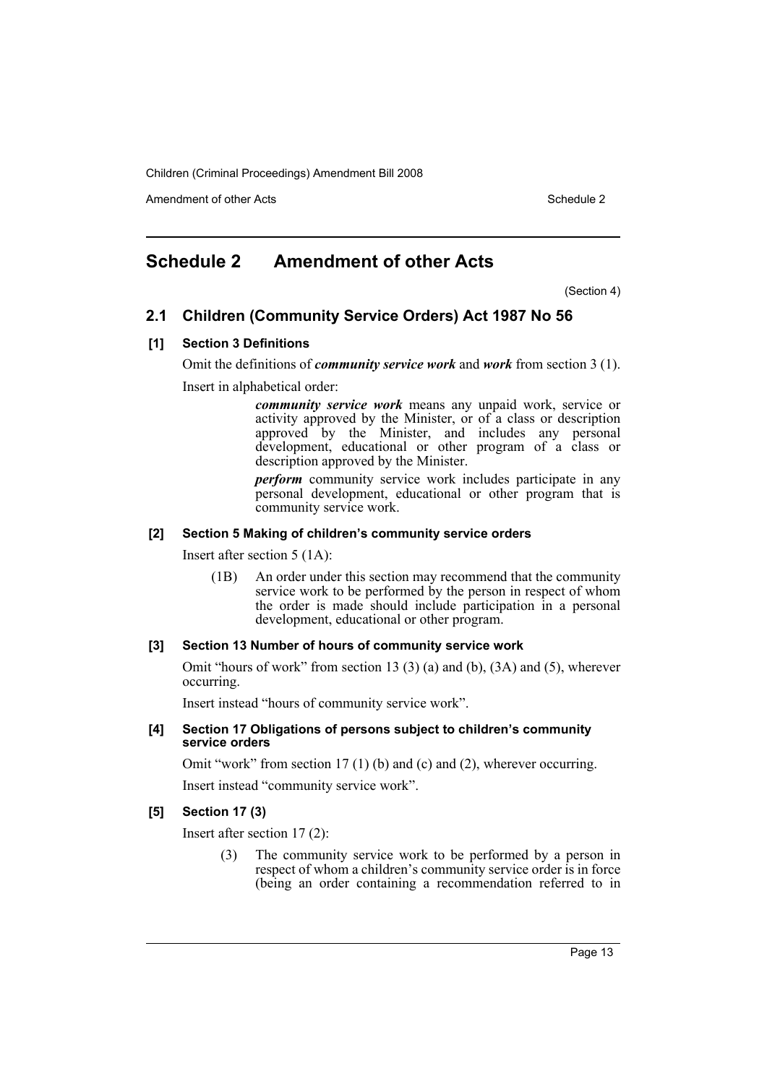Amendment of other Acts **Schedule 2** and the 2 and 2 and 2 and 2 and 2 and 2 and 2 and 2 and 2 and 2 and 2 and 2 and 2 and 2 and 2 and 2 and 2 and 2 and 2 and 2 and 2 and 2 and 2 and 2 and 2 and 2 and 2 and 2 and 2 and 2 a

# <span id="page-13-0"></span>**Schedule 2 Amendment of other Acts**

(Section 4)

# **2.1 Children (Community Service Orders) Act 1987 No 56**

#### **[1] Section 3 Definitions**

Omit the definitions of *community service work* and *work* from section 3 (1).

Insert in alphabetical order:

*community service work* means any unpaid work, service or activity approved by the Minister, or of a class or description approved by the Minister, and includes any personal development, educational or other program of a class or description approved by the Minister.

*perform* community service work includes participate in any personal development, educational or other program that is community service work.

#### **[2] Section 5 Making of children's community service orders**

Insert after section 5 (1A):

(1B) An order under this section may recommend that the community service work to be performed by the person in respect of whom the order is made should include participation in a personal development, educational or other program.

#### **[3] Section 13 Number of hours of community service work**

Omit "hours of work" from section 13 (3) (a) and (b), (3A) and (5), wherever occurring.

Insert instead "hours of community service work".

#### **[4] Section 17 Obligations of persons subject to children's community service orders**

Omit "work" from section 17 (1) (b) and (c) and (2), wherever occurring.

Insert instead "community service work".

# **[5] Section 17 (3)**

Insert after section 17 (2):

(3) The community service work to be performed by a person in respect of whom a children's community service order is in force (being an order containing a recommendation referred to in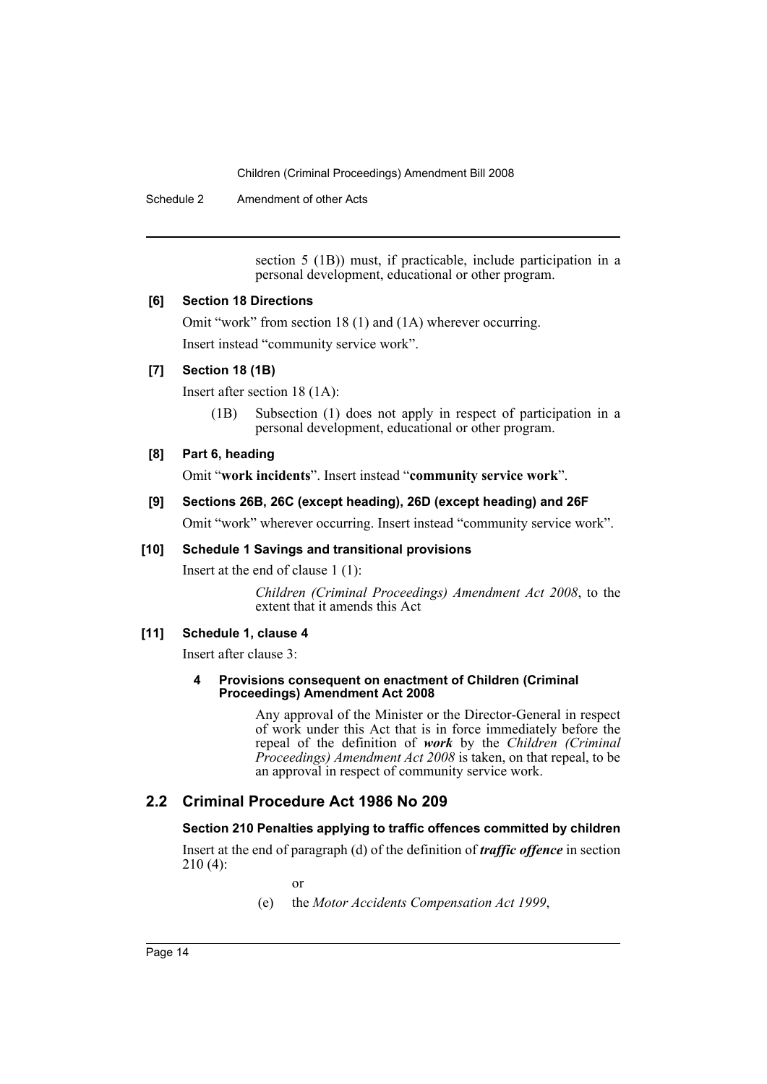Schedule 2 Amendment of other Acts

section 5 (1B)) must, if practicable, include participation in a personal development, educational or other program.

#### **[6] Section 18 Directions**

Omit "work" from section 18 (1) and (1A) wherever occurring. Insert instead "community service work".

#### **[7] Section 18 (1B)**

Insert after section 18 (1A):

(1B) Subsection (1) does not apply in respect of participation in a personal development, educational or other program.

#### **[8] Part 6, heading**

Omit "**work incidents**". Insert instead "**community service work**".

# **[9] Sections 26B, 26C (except heading), 26D (except heading) and 26F**

Omit "work" wherever occurring. Insert instead "community service work".

#### **[10] Schedule 1 Savings and transitional provisions**

Insert at the end of clause 1 (1):

*Children (Criminal Proceedings) Amendment Act 2008*, to the extent that it amends this Act

# **[11] Schedule 1, clause 4**

Insert after clause 3:

#### **4 Provisions consequent on enactment of Children (Criminal Proceedings) Amendment Act 2008**

Any approval of the Minister or the Director-General in respect of work under this Act that is in force immediately before the repeal of the definition of *work* by the *Children (Criminal Proceedings) Amendment Act 2008* is taken, on that repeal, to be an approval in respect of community service work.

# **2.2 Criminal Procedure Act 1986 No 209**

# **Section 210 Penalties applying to traffic offences committed by children**

Insert at the end of paragraph (d) of the definition of *traffic offence* in section 210 (4):

or

(e) the *Motor Accidents Compensation Act 1999*,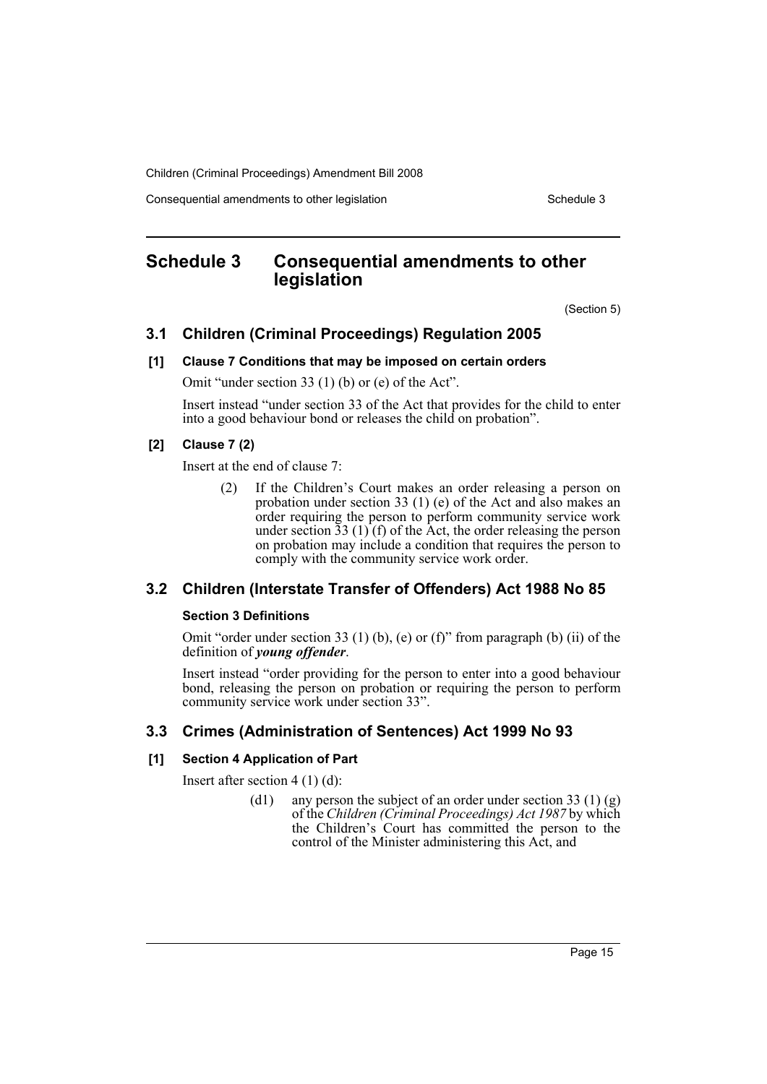Consequential amendments to other legislation Schedule 3 Schedule 3

# <span id="page-15-0"></span>**Schedule 3 Consequential amendments to other legislation**

(Section 5)

# **3.1 Children (Criminal Proceedings) Regulation 2005**

#### **[1] Clause 7 Conditions that may be imposed on certain orders**

Omit "under section 33 (1) (b) or (e) of the Act".

Insert instead "under section 33 of the Act that provides for the child to enter into a good behaviour bond or releases the child on probation".

# **[2] Clause 7 (2)**

Insert at the end of clause 7:

(2) If the Children's Court makes an order releasing a person on probation under section 33 (1) (e) of the Act and also makes an order requiring the person to perform community service work under section  $33(1)$  (f) of the Act, the order releasing the person on probation may include a condition that requires the person to comply with the community service work order.

# **3.2 Children (Interstate Transfer of Offenders) Act 1988 No 85**

#### **Section 3 Definitions**

Omit "order under section 33 (1) (b), (e) or (f)" from paragraph (b) (ii) of the definition of *young offender*.

Insert instead "order providing for the person to enter into a good behaviour bond, releasing the person on probation or requiring the person to perform community service work under section 33".

# **3.3 Crimes (Administration of Sentences) Act 1999 No 93**

# **[1] Section 4 Application of Part**

Insert after section 4 (1) (d):

(d1) any person the subject of an order under section 33 (1) (g) of the *Children (Criminal Proceedings) Act 1987* by which the Children's Court has committed the person to the control of the Minister administering this Act, and